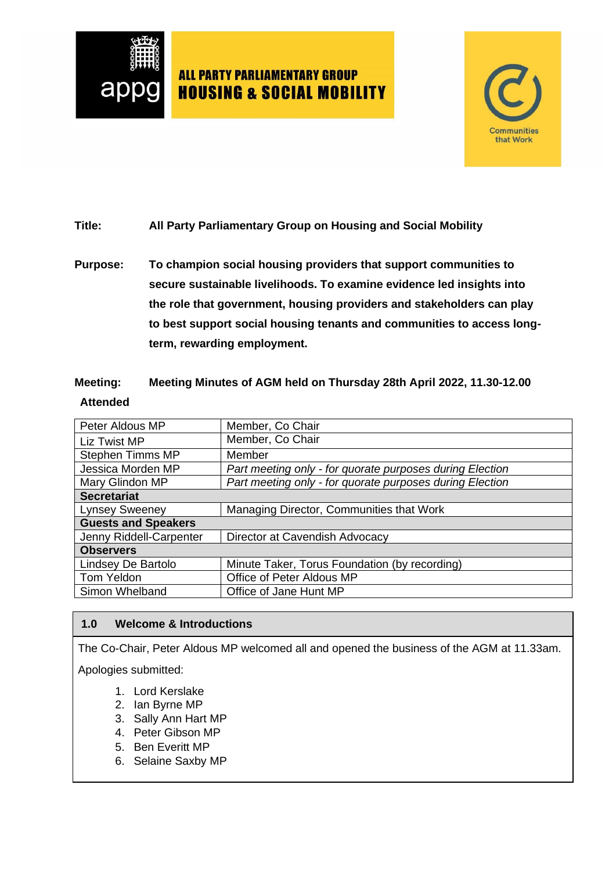



### **Title: All Party Parliamentary Group on Housing and Social Mobility**

**Purpose: To champion social housing providers that support communities to secure sustainable livelihoods. To examine evidence led insights into the role that government, housing providers and stakeholders can play to best support social housing tenants and communities to access longterm, rewarding employment.**

### **Meeting: Meeting Minutes of AGM held on Thursday 28th April 2022, 11.30-12.00 Attended**

| Peter Aldous MP                                                               | Member, Co Chair                                         |  |
|-------------------------------------------------------------------------------|----------------------------------------------------------|--|
| Member, Co Chair<br>Liz Twist MP                                              |                                                          |  |
| <b>Stephen Timms MP</b><br>Member                                             |                                                          |  |
| Jessica Morden MP<br>Part meeting only - for quorate purposes during Election |                                                          |  |
| Mary Glindon MP                                                               | Part meeting only - for quorate purposes during Election |  |
| <b>Secretariat</b>                                                            |                                                          |  |
| <b>Lynsey Sweeney</b>                                                         | Managing Director, Communities that Work                 |  |
| <b>Guests and Speakers</b>                                                    |                                                          |  |
| Jenny Riddell-Carpenter                                                       | Director at Cavendish Advocacy                           |  |
| <b>Observers</b>                                                              |                                                          |  |
| Lindsey De Bartolo                                                            | Minute Taker, Torus Foundation (by recording)            |  |
| Tom Yeldon                                                                    | Office of Peter Aldous MP                                |  |
| Simon Whelband                                                                | Office of Jane Hunt MP                                   |  |

#### **1.0 Welcome & Introductions**

The Co-Chair, Peter Aldous MP welcomed all and opened the business of the AGM at 11.33am.

Apologies submitted:

- 1. Lord Kerslake
- 2. Ian Byrne MP
- 3. Sally Ann Hart MP
- 4. Peter Gibson MP
- 5. Ben Everitt MP
- 6. Selaine Saxby MP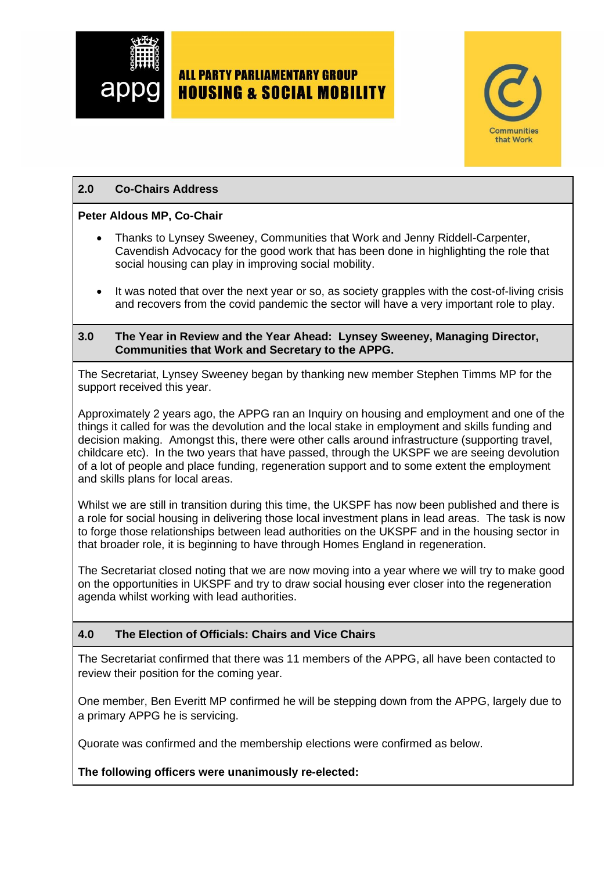



#### **2.0 Co-Chairs Address**

#### **Peter Aldous MP, Co-Chair**

- Thanks to Lynsey Sweeney, Communities that Work and Jenny Riddell-Carpenter, Cavendish Advocacy for the good work that has been done in highlighting the role that social housing can play in improving social mobility.
- It was noted that over the next year or so, as society grapples with the cost-of-living crisis and recovers from the covid pandemic the sector will have a very important role to play.

#### **3.0 The Year in Review and the Year Ahead: Lynsey Sweeney, Managing Director, Communities that Work and Secretary to the APPG.**

The Secretariat, Lynsey Sweeney began by thanking new member Stephen Timms MP for the support received this year.

Approximately 2 years ago, the APPG ran an Inquiry on housing and employment and one of the things it called for was the devolution and the local stake in employment and skills funding and decision making. Amongst this, there were other calls around infrastructure (supporting travel, childcare etc). In the two years that have passed, through the UKSPF we are seeing devolution of a lot of people and place funding, regeneration support and to some extent the employment and skills plans for local areas.

Whilst we are still in transition during this time, the UKSPF has now been published and there is a role for social housing in delivering those local investment plans in lead areas. The task is now to forge those relationships between lead authorities on the UKSPF and in the housing sector in that broader role, it is beginning to have through Homes England in regeneration.

The Secretariat closed noting that we are now moving into a year where we will try to make good on the opportunities in UKSPF and try to draw social housing ever closer into the regeneration agenda whilst working with lead authorities.

#### **4.0 The Election of Officials: Chairs and Vice Chairs**

The Secretariat confirmed that there was 11 members of the APPG, all have been contacted to review their position for the coming year.

One member, Ben Everitt MP confirmed he will be stepping down from the APPG, largely due to a primary APPG he is servicing.

Quorate was confirmed and the membership elections were confirmed as below.

#### **The following officers were unanimously re-elected:**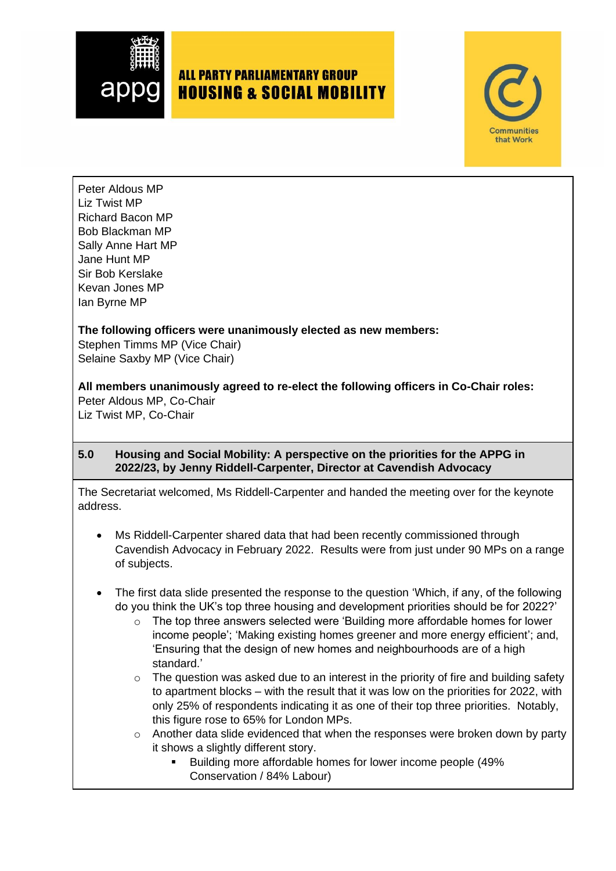



Peter Aldous MP Liz Twist MP Richard Bacon MP Bob Blackman MP Sally Anne Hart MP Jane Hunt MP Sir Bob Kerslake Kevan Jones MP Ian Byrne MP

### **The following officers were unanimously elected as new members:**

Stephen Timms MP (Vice Chair) Selaine Saxby MP (Vice Chair)

**All members unanimously agreed to re-elect the following officers in Co-Chair roles:** Peter Aldous MP, Co-Chair

Liz Twist MP, Co-Chair

#### **5.0 Housing and Social Mobility: A perspective on the priorities for the APPG in 2022/23, by Jenny Riddell-Carpenter, Director at Cavendish Advocacy**

The Secretariat welcomed, Ms Riddell-Carpenter and handed the meeting over for the keynote address.

- Ms Riddell-Carpenter shared data that had been recently commissioned through Cavendish Advocacy in February 2022. Results were from just under 90 MPs on a range of subjects.
- The first data slide presented the response to the question 'Which, if any, of the following do you think the UK's top three housing and development priorities should be for 2022?'
	- The top three answers selected were 'Building more affordable homes for lower income people'; 'Making existing homes greener and more energy efficient'; and, 'Ensuring that the design of new homes and neighbourhoods are of a high standard.'
	- o The question was asked due to an interest in the priority of fire and building safety to apartment blocks – with the result that it was low on the priorities for 2022, with only 25% of respondents indicating it as one of their top three priorities. Notably, this figure rose to 65% for London MPs.
	- o Another data slide evidenced that when the responses were broken down by party it shows a slightly different story.
		- Building more affordable homes for lower income people (49% Conservation / 84% Labour)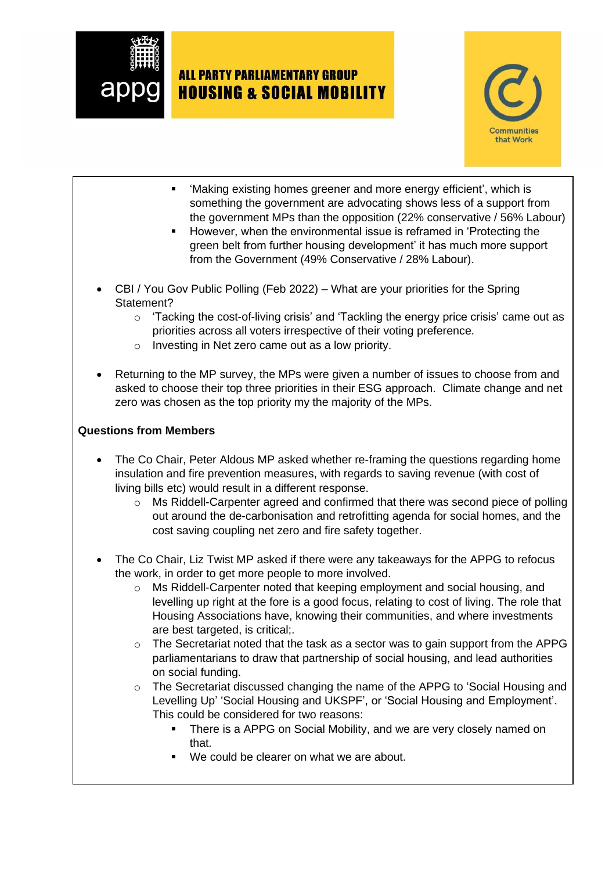



- 'Making existing homes greener and more energy efficient', which is something the government are advocating shows less of a support from the government MPs than the opposition (22% conservative / 56% Labour)
- However, when the environmental issue is reframed in 'Protecting the green belt from further housing development' it has much more support from the Government (49% Conservative / 28% Labour).
- CBI / You Gov Public Polling (Feb 2022) What are your priorities for the Spring Statement?
	- o 'Tacking the cost-of-living crisis' and 'Tackling the energy price crisis' came out as priorities across all voters irrespective of their voting preference.
	- o Investing in Net zero came out as a low priority.
- Returning to the MP survey, the MPs were given a number of issues to choose from and asked to choose their top three priorities in their ESG approach. Climate change and net zero was chosen as the top priority my the majority of the MPs.

### **Questions from Members**

- The Co Chair, Peter Aldous MP asked whether re-framing the questions regarding home insulation and fire prevention measures, with regards to saving revenue (with cost of living bills etc) would result in a different response.
	- o Ms Riddell-Carpenter agreed and confirmed that there was second piece of polling out around the de-carbonisation and retrofitting agenda for social homes, and the cost saving coupling net zero and fire safety together.
- The Co Chair, Liz Twist MP asked if there were any takeaways for the APPG to refocus the work, in order to get more people to more involved.
	- $\circ$  Ms Riddell-Carpenter noted that keeping employment and social housing, and levelling up right at the fore is a good focus, relating to cost of living. The role that Housing Associations have, knowing their communities, and where investments are best targeted, is critical:
	- $\circ$  The Secretariat noted that the task as a sector was to gain support from the APPG parliamentarians to draw that partnership of social housing, and lead authorities on social funding.
	- o The Secretariat discussed changing the name of the APPG to 'Social Housing and Levelling Up' 'Social Housing and UKSPF', or 'Social Housing and Employment'. This could be considered for two reasons:
		- There is a APPG on Social Mobility, and we are very closely named on that.
		- We could be clearer on what we are about.